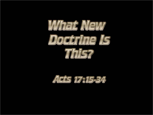

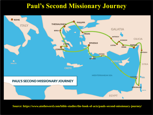#### **Paul's Second Missionary Journey**



**Source: https://www.atotheword.com/bible-studies/the-book-of-acts/pauls-second-missionary-journey/**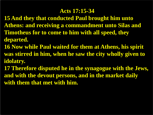#### **Acts 17:15-34**

- **15 And they that conducted Paul brought him unto Athens: and receiving a commandment unto Silas and Timotheus for to come to him with all speed, they departed.**
- **16 Now while Paul waited for them at Athens, his spirit was stirred in him, when he saw the city wholly given to idolatry.**
- **17 Therefore disputed he in the synagogue with the Jews, and with the devout persons, and in the market daily with them that met with him.**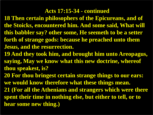**18 Then certain philosophers of the Epicureans, and of the Stoicks, encountered him. And some said, What will this babbler say? other some, He seemeth to be a setter forth of strange gods: because he preached unto them Jesus, and the resurrection.**

**19 And they took him, and brought him unto Areopagus, saying, May we know what this new doctrine, whereof thou speakest, is?**

**20 For thou bringest certain strange things to our ears: we would know therefore what these things mean.**

**21 (For all the Athenians and strangers which were there spent their time in nothing else, but either to tell, or to hear some new thing.)**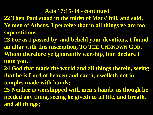- **22 Then Paul stood in the midst of Mars' hill, and said, Ye men of Athens, I perceive that in all things ye are too superstitious.**
- **23 For as I passed by, and beheld your devotions, I found an altar with this inscription, TO THE UNKNOWN GOD. Whom therefore ye ignorantly worship, him declare I unto you.**
- **24 God that made the world and all things therein, seeing that he is Lord of heaven and earth, dwelleth not in temples made with hands;**
- **25 Neither is worshipped with men's hands, as though he needed any thing, seeing he giveth to all life, and breath, and all things;**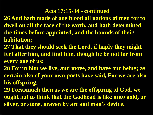**26 And hath made of one blood all nations of men for to dwell on all the face of the earth, and hath determined the times before appointed, and the bounds of their habitation;**

- **27 That they should seek the Lord, if haply they might feel after him, and find him, though he be not far from every one of us:**
- **28 For in him we live, and move, and have our being; as certain also of your own poets have said, For we are also his offspring.**
- **29 Forasmuch then as we are the offspring of God, we ought not to think that the Godhead is like unto gold, or silver, or stone, graven by art and man's device.**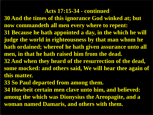**30 And the times of this ignorance God winked at; but now commandeth all men every where to repent: 31 Because he hath appointed a day, in the which he will judge the world in righteousness by that man whom he hath ordained; whereof he hath given assurance unto all men, in that he hath raised him from the dead. 32 And when they heard of the resurrection of the dead, some mocked: and others said, We will hear thee again of this matter.**

**33 So Paul departed from among them.**

**34 Howbeit certain men clave unto him, and believed: among the which was Dionysius the Areopagite, and a woman named Damaris, and others with them.**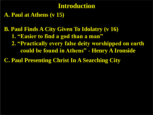#### **Introduction**

**A. Paul at Athens (v 15)**

**B. Paul Finds A City Given To Idolatry (v 16) 1. "Easier to find a god than a man" 2. "Practically every false deity worshipped on earth could be found in Athens" - Henry A Ironside**

**C. Paul Presenting Christ In A Searching City**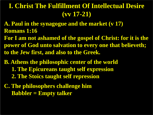- **A. Paul in the synagogue and the market (v 17) Romans 1:16**
- **For I am not ashamed of the gospel of Christ: for it is the power of God unto salvation to every one that believeth; to the Jew first, and also to the Greek.**
- **B. Athens the philosophic center of the world 1. The Epicureans taught self expression 2. The Stoics taught self repression**
- **C. The philosophers challenge him Babbler = Empty talker**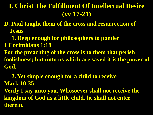**D. Paul taught them of the cross and resurrection of Jesus**

 **1. Deep enough for philosophers to ponder 1 Corinthians 1:18 For the preaching of the cross is to them that perish foolishness; but unto us which are saved it is the power of God.**

 **2. Yet simple enough for a child to receive Mark 10:35 Verily I say unto you, Whosoever shall not receive the kingdom of God as a little child, he shall not enter therein.**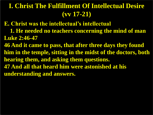**E. Christ was the intellectual's intellectual**

- **1. He needed no teachers concerning the mind of man Luke 2:46-47**
- **46 And it came to pass, that after three days they found him in the temple, sitting in the midst of the doctors, both hearing them, and asking them questions. 47 And all that heard him were astonished at his understanding and answers.**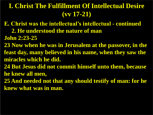- **E. Christ was the intellectual's intellectual - continued**
	- **2. He understood the nature of man**
- **John 2:23-25**
- **23 Now when he was in Jerusalem at the passover, in the feast day, many believed in his name, when they saw the miracles which he did.**
- **24 But Jesus did not commit himself unto them, because he knew all men,**
- **25 And needed not that any should testify of man: for he knew what was in man.**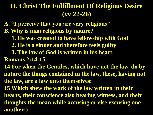## **II. Christ The Fulfillment Of Religious Desire (vv 22-26)**

- **A. "I perceive that you are very religious"**
- **B. Why is man religious by nature?**
	- **1. He was created to have fellowship with God**
	- **2. He is a sinner and therefore feels guilty**
	- **3. The law of God is written in his heart**
- **Romans 2:14-15**
- **14 For when the Gentiles, which have not the law, do by nature the things contained in the law, these, having not the law, are a law unto themselves:**
- **15 Which shew the work of the law written in their hearts, their conscience also bearing witness, and their thoughts the mean while accusing or else excusing one another;)**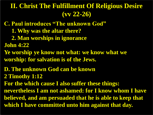### **II. Christ The Fulfillment Of Religious Desire (vv 22-26)**

**C. Paul introduces "The unknown God" 1. Why was the altar there? 2. Man worships in ignorance John 4:22 Ye worship ye know not what: we know what we worship: for salvation is of the Jews. D. The unknown God can be known 2 Timothy 1:12 For the which cause I also suffer these things: nevertheless I am not ashamed: for I know whom I have believed, and am persuaded that he is able to keep that which I have committed unto him against that day.**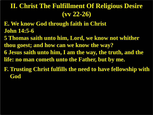## **II. Christ The Fulfillment Of Religious Desire (vv 22-26)**

- **E. We know God through faith in Christ John 14:5-6**
- **5 Thomas saith unto him, Lord, we know not whither thou goest; and how can we know the way? 6 Jesus saith unto him, I am the way, the truth, and the life: no man cometh unto the Father, but by me.**
- **F. Trusting Christ fulfills the need to have fellowship with God**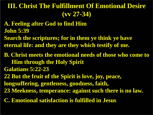## **III. Christ The Fulfillment Of Emotional Desire (vv 27-34)**

- **A. Feeling after God to find Him John 5:39**
- **Search the scriptures; for in them ye think ye have eternal life: and they are they which testify of me.**
- **B. Christ meets the emotional needs of those who come to Him through the Holy Spirit**
- **Galatians 5:22-23**
- **22 But the fruit of the Spirit is love, joy, peace, longsuffering, gentleness, goodness, faith, 23 Meekness, temperance: against such there is no law.**
- **C. Emotional satisfaction is fulfilled in Jesus**